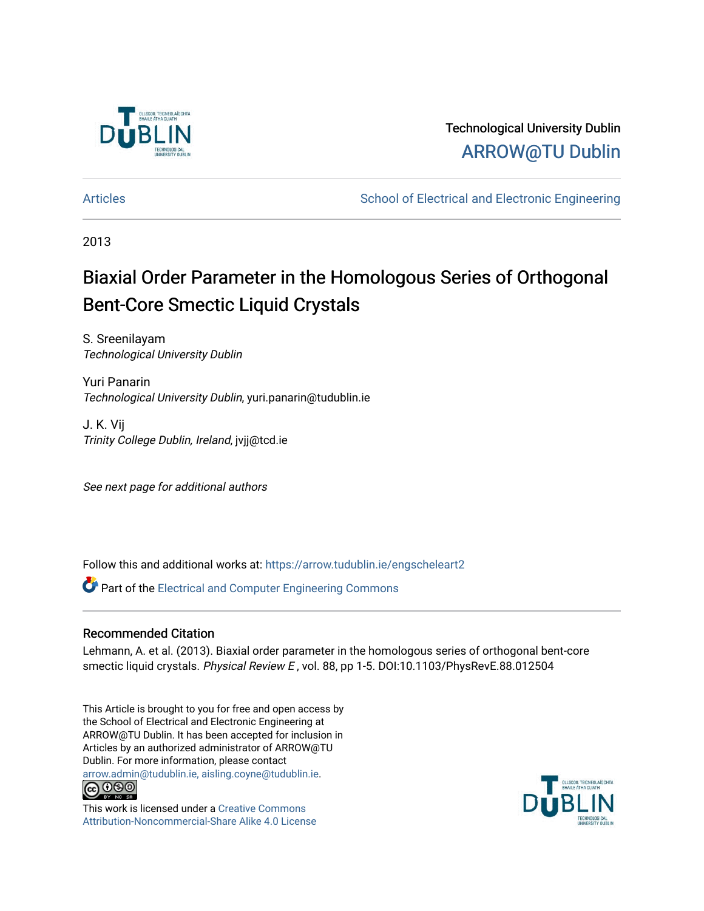

## Technological University Dublin [ARROW@TU Dublin](https://arrow.tudublin.ie/)

[Articles](https://arrow.tudublin.ie/engscheleart2) **School of Electrical and Electronic Engineering** School of Electronic Engineering

2013

# Biaxial Order Parameter in the Homologous Series of Orthogonal Bent-Core Smectic Liquid Crystals

S. Sreenilayam Technological University Dublin

Yuri Panarin Technological University Dublin, yuri.panarin@tudublin.ie

J. K. Vij Trinity College Dublin, Ireland, jvjj@tcd.ie

See next page for additional authors

Follow this and additional works at: [https://arrow.tudublin.ie/engscheleart2](https://arrow.tudublin.ie/engscheleart2?utm_source=arrow.tudublin.ie%2Fengscheleart2%2F162&utm_medium=PDF&utm_campaign=PDFCoverPages)

**P** Part of the Electrical and Computer Engineering Commons

### Recommended Citation

Lehmann, A. et al. (2013). Biaxial order parameter in the homologous series of orthogonal bent-core smectic liquid crystals. Physical Review E, vol. 88, pp 1-5. DOI:10.1103/PhysRevE.88.012504

This Article is brought to you for free and open access by the School of Electrical and Electronic Engineering at ARROW@TU Dublin. It has been accepted for inclusion in Articles by an authorized administrator of ARROW@TU Dublin. For more information, please contact [arrow.admin@tudublin.ie, aisling.coyne@tudublin.ie](mailto:arrow.admin@tudublin.ie,%20aisling.coyne@tudublin.ie).



This work is licensed under a [Creative Commons](http://creativecommons.org/licenses/by-nc-sa/4.0/) [Attribution-Noncommercial-Share Alike 4.0 License](http://creativecommons.org/licenses/by-nc-sa/4.0/)

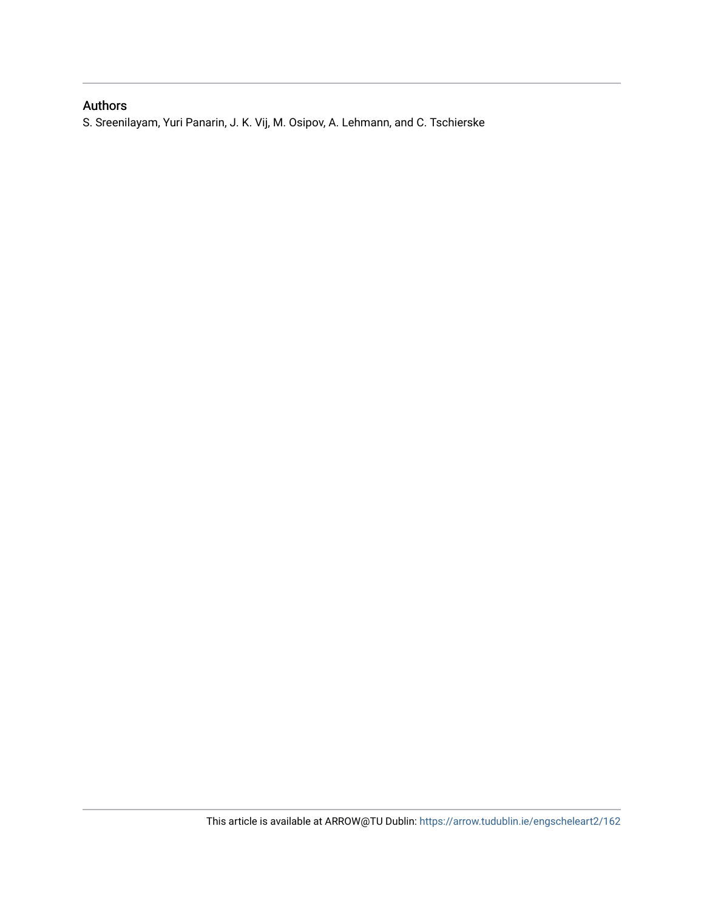## Authors

S. Sreenilayam, Yuri Panarin, J. K. Vij, M. Osipov, A. Lehmann, and C. Tschierske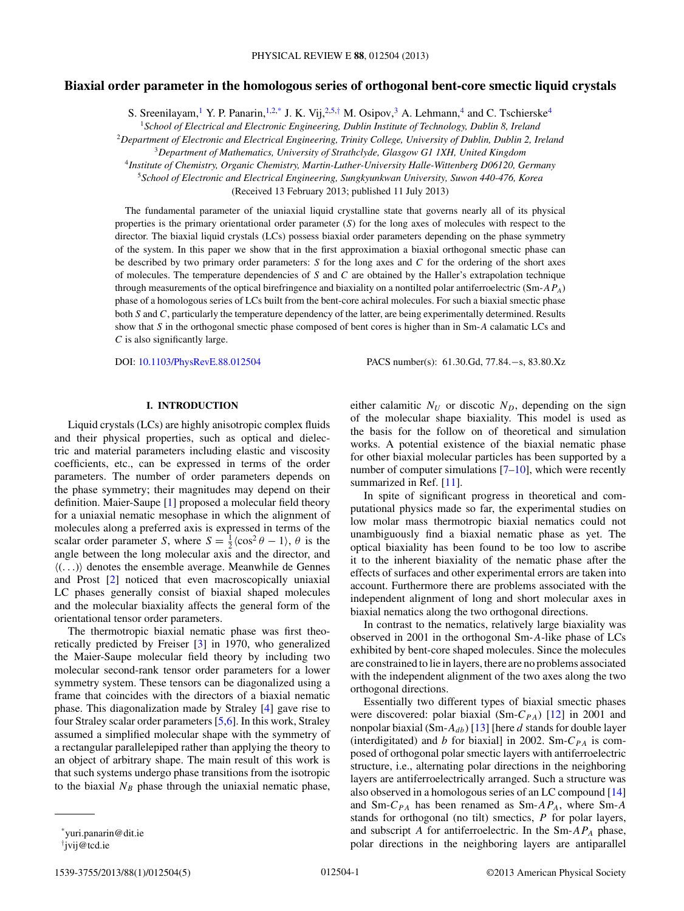#### **Biaxial order parameter in the homologous series of orthogonal bent-core smectic liquid crystals**

S. Sreenilayam,<sup>1</sup> Y. P. Panarin,<sup>1,2,\*</sup> J. K. Vij,<sup>2,5,†</sup> M. Osipov,<sup>3</sup> A. Lehmann,<sup>4</sup> and C. Tschierske<sup>4</sup>

<sup>1</sup>*School of Electrical and Electronic Engineering, Dublin Institute of Technology, Dublin 8, Ireland*

<sup>2</sup>*Department of Electronic and Electrical Engineering, Trinity College, University of Dublin, Dublin 2, Ireland*

<sup>3</sup>*Department of Mathematics, University of Strathclyde, Glasgow G1 1XH, United Kingdom*

<sup>4</sup>*Institute of Chemistry, Organic Chemistry, Martin-Luther-University Halle-Wittenberg D06120, Germany*

<sup>5</sup>*School of Electronic and Electrical Engineering, Sungkyunkwan University, Suwon 440-476, Korea*

(Received 13 February 2013; published 11 July 2013)

The fundamental parameter of the uniaxial liquid crystalline state that governs nearly all of its physical properties is the primary orientational order parameter (*S*) for the long axes of molecules with respect to the director. The biaxial liquid crystals (LCs) possess biaxial order parameters depending on the phase symmetry of the system. In this paper we show that in the first approximation a biaxial orthogonal smectic phase can be described by two primary order parameters: *S* for the long axes and *C* for the ordering of the short axes of molecules. The temperature dependencies of *S* and *C* are obtained by the Haller's extrapolation technique through measurements of the optical birefringence and biaxiality on a nontilted polar antiferroelectric (Sm-*APA*) phase of a homologous series of LCs built from the bent-core achiral molecules. For such a biaxial smectic phase both *S* and *C*, particularly the temperature dependency of the latter, are being experimentally determined. Results show that *S* in the orthogonal smectic phase composed of bent cores is higher than in Sm-*A* calamatic LCs and *C* is also significantly large.

DOI: [10.1103/PhysRevE.88.012504](http://dx.doi.org/10.1103/PhysRevE.88.012504) PACS number(s): 61*.*30*.*Gd, 77*.*84*.*−s, 83*.*80*.*Xz

#### **I. INTRODUCTION**

Liquid crystals (LCs) are highly anisotropic complex fluids and their physical properties, such as optical and dielectric and material parameters including elastic and viscosity coefficients, etc., can be expressed in terms of the order parameters. The number of order parameters depends on the phase symmetry; their magnitudes may depend on their definition. Maier-Saupe [\[1\]](#page-6-0) proposed a molecular field theory for a uniaxial nematic mesophase in which the alignment of molecules along a preferred axis is expressed in terms of the scalar order parameter *S*, where  $S = \frac{1}{2} \langle \cos^2 \theta - 1 \rangle$ ,  $\theta$  is the angle between the long molecular axis and the director, and -(*...*) denotes the ensemble average. Meanwhile de Gennes and Prost [\[2\]](#page-6-0) noticed that even macroscopically uniaxial LC phases generally consist of biaxial shaped molecules and the molecular biaxiality affects the general form of the orientational tensor order parameters.

The thermotropic biaxial nematic phase was first theoretically predicted by Freiser [\[3\]](#page-6-0) in 1970, who generalized the Maier-Saupe molecular field theory by including two molecular second-rank tensor order parameters for a lower symmetry system. These tensors can be diagonalized using a frame that coincides with the directors of a biaxial nematic phase. This diagonalization made by Straley [\[4\]](#page-6-0) gave rise to four Straley scalar order parameters [\[5,6\]](#page-6-0). In this work, Straley assumed a simplified molecular shape with the symmetry of a rectangular parallelepiped rather than applying the theory to an object of arbitrary shape. The main result of this work is that such systems undergo phase transitions from the isotropic to the biaxial  $N_B$  phase through the uniaxial nematic phase,

either calamitic  $N_U$  or discotic  $N_D$ , depending on the sign of the molecular shape biaxiality. This model is used as the basis for the follow on of theoretical and simulation works. A potential existence of the biaxial nematic phase for other biaxial molecular particles has been supported by a number of computer simulations  $[7–10]$ , which were recently summarized in Ref. [\[11\]](#page-6-0).

In spite of significant progress in theoretical and computational physics made so far, the experimental studies on low molar mass thermotropic biaxial nematics could not unambiguously find a biaxial nematic phase as yet. The optical biaxiality has been found to be too low to ascribe it to the inherent biaxiality of the nematic phase after the effects of surfaces and other experimental errors are taken into account. Furthermore there are problems associated with the independent alignment of long and short molecular axes in biaxial nematics along the two orthogonal directions.

In contrast to the nematics, relatively large biaxiality was observed in 2001 in the orthogonal Sm-*A*-like phase of LCs exhibited by bent-core shaped molecules. Since the molecules are constrained to lie in layers, there are no problems associated with the independent alignment of the two axes along the two orthogonal directions.

Essentially two different types of biaxial smectic phases were discovered: polar biaxial (Sm-C<sub>PA</sub>) [\[12\]](#page-6-0) in 2001 and nonpolar biaxial (Sm-*Adb*) [\[13\]](#page-6-0) [here *d* stands for double layer (interdigitated) and *b* for biaxial] in 2002. Sm- $C_{PA}$  is composed of orthogonal polar smectic layers with antiferroelectric structure, i.e., alternating polar directions in the neighboring layers are antiferroelectrically arranged. Such a structure was also observed in a homologous series of an LC compound [\[14\]](#page-6-0) and Sm-*CPA* has been renamed as Sm-*APA*, where Sm-*A* stands for orthogonal (no tilt) smectics, *P* for polar layers, and subscript *A* for antiferroelectric. In the Sm-*APA* phase, polar directions in the neighboring layers are antiparallel

<sup>\*</sup>yuri.panarin@dit.ie

<sup>†</sup> jvij@tcd.ie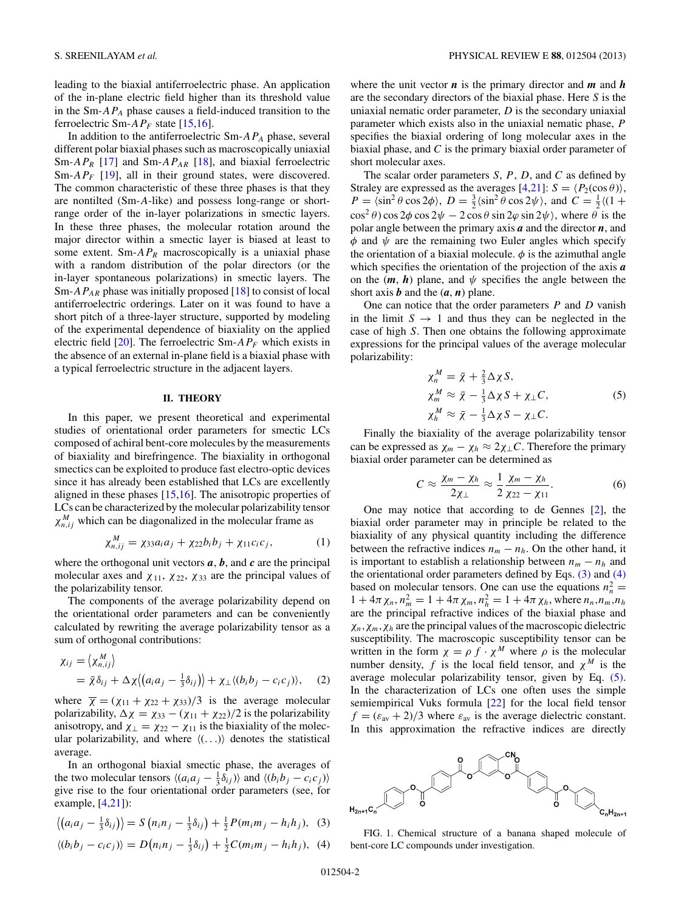<span id="page-3-0"></span>leading to the biaxial antiferroelectric phase. An application of the in-plane electric field higher than its threshold value in the Sm-*APA* phase causes a field-induced transition to the ferroelectric Sm-*APF* state [\[15,16\]](#page-6-0).

In addition to the antiferroelectric Sm-*APA* phase, several different polar biaxial phases such as macroscopically uniaxial Sm-*APR* [\[17\]](#page-6-0) and Sm-*APAR* [\[18\]](#page-6-0), and biaxial ferroelectric Sm-*AP<sub>F</sub>* [\[19\]](#page-6-0), all in their ground states, were discovered. The common characteristic of these three phases is that they are nontilted (Sm-*A*-like) and possess long-range or shortrange order of the in-layer polarizations in smectic layers. In these three phases, the molecular rotation around the major director within a smectic layer is biased at least to some extent. Sm- $AP_R$  macroscopically is a uniaxial phase with a random distribution of the polar directors (or the in-layer spontaneous polarizations) in smectic layers. The Sm-*APAR* phase was initially proposed [\[18\]](#page-6-0) to consist of local antiferroelectric orderings. Later on it was found to have a short pitch of a three-layer structure, supported by modeling of the experimental dependence of biaxiality on the applied electric field  $[20]$ . The ferroelectric Sm- $AP_F$  which exists in the absence of an external in-plane field is a biaxial phase with a typical ferroelectric structure in the adjacent layers.

#### **II. THEORY**

In this paper, we present theoretical and experimental studies of orientational order parameters for smectic LCs composed of achiral bent-core molecules by the measurements of biaxiality and birefringence. The biaxiality in orthogonal smectics can be exploited to produce fast electro-optic devices since it has already been established that LCs are excellently aligned in these phases [\[15,16\]](#page-6-0). The anisotropic properties of LCs can be characterized by the molecular polarizability tensor  $\chi_{n,ij}^M$  which can be diagonalized in the molecular frame as

$$
\chi_{n,ij}^M = \chi_{33} a_i a_j + \chi_{22} b_i b_j + \chi_{11} c_i c_j, \qquad (1)
$$

where the orthogonal unit vectors  $a, b$ , and  $c$  are the principal molecular axes and  $\chi_{11}$ ,  $\chi_{22}$ ,  $\chi_{33}$  are the principal values of the polarizability tensor.

The components of the average polarizability depend on the orientational order parameters and can be conveniently calculated by rewriting the average polarizability tensor as a sum of orthogonal contributions:

$$
\chi_{ij} = \langle \chi_{n,ij}^M \rangle
$$
  
=  $\bar{\chi} \delta_{ij} + \Delta \chi \langle (a_i a_j - \frac{1}{3} \delta_{ij}) \rangle + \chi_{\perp} \langle (b_i b_j - c_i c_j) \rangle,$  (2)

where  $\overline{\chi} = (\chi_{11} + \chi_{22} + \chi_{33})/3$  is the average molecular polarizability,  $\Delta \chi = \chi_{33} - (\chi_{11} + \chi_{22})/2$  is the polarizability anisotropy, and  $\chi_{\perp} = \chi_{22} - \chi_{11}$  is the biaxiality of the molecular polarizability, and where  $\langle (\ldots) \rangle$  denotes the statistical average.

In an orthogonal biaxial smectic phase, the averages of the two molecular tensors  $\langle (a_i a_j - \frac{1}{3} \delta_{ij}) \rangle$  and  $\langle (b_i b_j - c_i c_j) \rangle$ give rise to the four orientational order parameters (see, for example,  $[4,21]$ :

$$
\left\langle \left( a_i a_j - \frac{1}{3} \delta_{ij} \right) \right\rangle = S \left( n_i n_j - \frac{1}{3} \delta_{ij} \right) + \frac{1}{2} P(m_i m_j - h_i h_j), \quad (3)
$$

$$
\langle (b_i b_j - c_i c_j) \rangle = D\big(n_i n_j - \frac{1}{3} \delta_{ij}\big) + \frac{1}{2} C(m_i m_j - h_i h_j), \tag{4}
$$

where the unit vector  $n$  is the primary director and  $m$  and  $h$ are the secondary directors of the biaxial phase. Here *S* is the uniaxial nematic order parameter, *D* is the secondary uniaxial parameter which exists also in the uniaxial nematic phase, *P* specifies the biaxial ordering of long molecular axes in the biaxial phase, and *C* is the primary biaxial order parameter of short molecular axes.

The scalar order parameters *S*, *P*, *D*, and *C* as defined by Straley are expressed as the averages  $[4,21]$ :  $S = \langle P_2(\cos \theta) \rangle$ ,  $P = \langle \sin^2 \theta \cos 2\phi \rangle$ ,  $D = \frac{3}{2} \langle \sin^2 \theta \cos 2\psi \rangle$ , and  $C = \frac{1}{2} \langle (1 +$  $\cos^2 \theta$ ) cos  $2\phi \cos 2\psi - 2 \cos \theta \sin 2\varphi \sin 2\psi$ , where  $\theta$  is the polar angle between the primary axis *a* and the director *n*, and  $\phi$  and  $\psi$  are the remaining two Euler angles which specify the orientation of a biaxial molecule.  $\phi$  is the azimuthal angle which specifies the orientation of the projection of the axis *a* on the  $(m, h)$  plane, and  $\psi$  specifies the angle between the short axis  $\boldsymbol{b}$  and the  $(\boldsymbol{a}, \boldsymbol{n})$  plane.

One can notice that the order parameters *P* and *D* vanish in the limit  $S \rightarrow 1$  and thus they can be neglected in the case of high *S*. Then one obtains the following approximate expressions for the principal values of the average molecular polarizability:

$$
\chi_n^M = \bar{\chi} + \frac{2}{3} \Delta \chi S,
$$
  
\n
$$
\chi_m^M \approx \bar{\chi} - \frac{1}{3} \Delta \chi S + \chi_{\perp} C,
$$
  
\n
$$
\chi_n^M \approx \bar{\chi} - \frac{1}{3} \Delta \chi S - \chi_{\perp} C.
$$
\n(5)

Finally the biaxiality of the average polarizability tensor can be expressed as  $\chi_m - \chi_h \approx 2\chi_{\perp}C$ . Therefore the primary biaxial order parameter can be determined as

$$
C \approx \frac{\chi_m - \chi_h}{2\chi_{\perp}} \approx \frac{1}{2} \frac{\chi_m - \chi_h}{\chi_{22} - \chi_{11}}.
$$
 (6)

One may notice that according to de Gennes [\[2\]](#page-6-0), the biaxial order parameter may in principle be related to the biaxiality of any physical quantity including the difference between the refractive indices  $n_m - n_h$ . On the other hand, it is important to establish a relationship between  $n_m - n_h$  and the orientational order parameters defined by Eqs. (3) and (4) based on molecular tensors. One can use the equations  $n_n^2 =$  $1 + 4\pi \chi_n$ ,  $n_m^2 = 1 + 4\pi \chi_m$ ,  $n_h^2 = 1 + 4\pi \chi_h$ , where  $n_n$ ,  $n_m$ ,  $n_h$ are the principal refractive indices of the biaxial phase and *χn,χm,χh* are the principal values of the macroscopic dielectric susceptibility. The macroscopic susceptibility tensor can be written in the form  $\chi = \rho f \cdot \chi^M$  where  $\rho$  is the molecular number density, *f* is the local field tensor, and  $\chi^M$  is the average molecular polarizability tensor, given by Eq. (5). In the characterization of LCs one often uses the simple semiempirical Vuks formula [\[22\]](#page-6-0) for the local field tensor  $f = (\varepsilon_{av} + 2)/3$  where  $\varepsilon_{av}$  is the average dielectric constant. In this approximation the refractive indices are directly



FIG. 1. Chemical structure of a banana shaped molecule of bent-core LC compounds under investigation.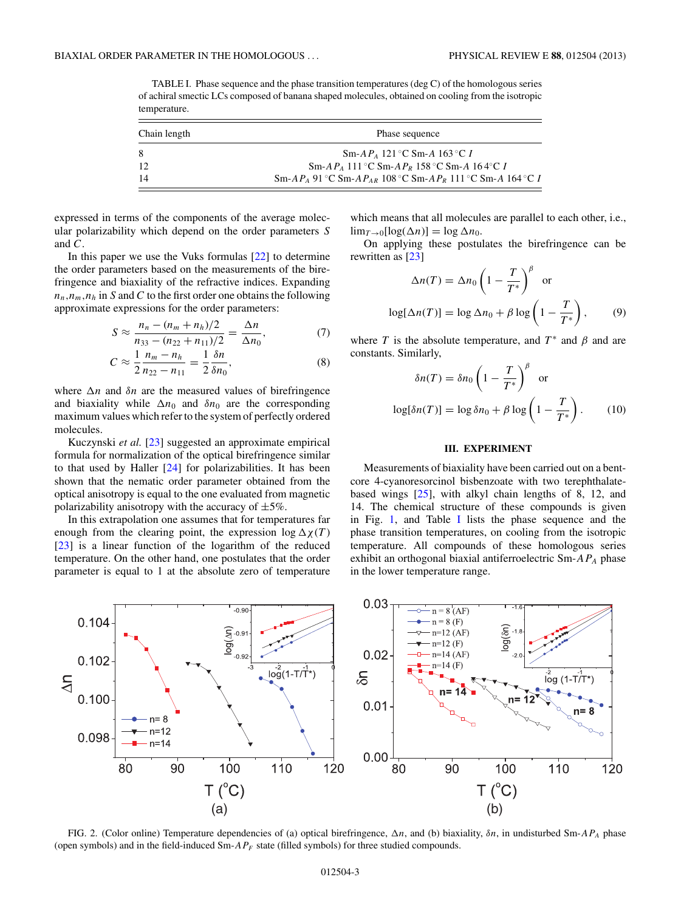<span id="page-4-0"></span>TABLE I. Phase sequence and the phase transition temperatures (deg C) of the homologous series of achiral smectic LCs composed of banana shaped molecules, obtained on cooling from the isotropic temperature.

| Chain length | Phase sequence                                                       |  |
|--------------|----------------------------------------------------------------------|--|
| -8           | Sm-A $P_A$ 121 °C Sm-A 163 °C I                                      |  |
| 12           | Sm-A $P_A$ 111 °C Sm-A $P_R$ 158 °C Sm-A 164 °C I                    |  |
| 14           | $Sm-AP_4$ 91 °C Sm-A $P_{AB}$ 108 °C Sm-A $P_R$ 111 °C Sm-A 164 °C I |  |

expressed in terms of the components of the average molecular polarizability which depend on the order parameters *S* and *C*.

In this paper we use the Vuks formulas [\[22\]](#page-6-0) to determine the order parameters based on the measurements of the birefringence and biaxiality of the refractive indices. Expanding  $n_n, n_m, n_h$  in *S* and *C* to the first order one obtains the following approximate expressions for the order parameters:

$$
S \approx \frac{n_n - (n_m + n_h)/2}{n_{33} - (n_{22} + n_{11})/2} = \frac{\Delta n}{\Delta n_0},\tag{7}
$$

$$
C \approx \frac{1}{2} \frac{n_m - n_h}{n_{22} - n_{11}} = \frac{1}{2} \frac{\delta n}{\delta n_0},
$$
 (8)

where  $\Delta n$  and  $\delta n$  are the measured values of birefringence and biaxiality while  $\Delta n_0$  and  $\delta n_0$  are the corresponding maximum values which refer to the system of perfectly ordered molecules.

Kuczynski *et al.* [\[23\]](#page-6-0) suggested an approximate empirical formula for normalization of the optical birefringence similar to that used by Haller [\[24\]](#page-6-0) for polarizabilities. It has been shown that the nematic order parameter obtained from the optical anisotropy is equal to the one evaluated from magnetic polarizability anisotropy with the accuracy of  $\pm 5\%$ .

In this extrapolation one assumes that for temperatures far enough from the clearing point, the expression  $\log \Delta \chi(T)$ [\[23\]](#page-6-0) is a linear function of the logarithm of the reduced temperature. On the other hand, one postulates that the order parameter is equal to 1 at the absolute zero of temperature

which means that all molecules are parallel to each other, i.e.,  $\lim_{T\to 0} [\log(\Delta n)] = \log \Delta n_0$ .

On applying these postulates the birefringence can be rewritten as [\[23\]](#page-6-0)

$$
\Delta n(T) = \Delta n_0 \left( 1 - \frac{T}{T^*} \right)^{\beta} \text{ or}
$$

$$
\log[\Delta n(T)] = \log \Delta n_0 + \beta \log \left( 1 - \frac{T}{T^*} \right), \qquad (9)
$$

where *T* is the absolute temperature, and  $T^*$  and  $\beta$  and are constants. Similarly,

$$
\delta n(T) = \delta n_0 \left( 1 - \frac{T}{T^*} \right)^{\beta} \text{ or}
$$

$$
\log[\delta n(T)] = \log \delta n_0 + \beta \log \left( 1 - \frac{T}{T^*} \right). \qquad (10)
$$

#### **III. EXPERIMENT**

Measurements of biaxiality have been carried out on a bentcore 4-cyanoresorcinol bisbenzoate with two terephthalatebased wings  $[25]$ , with alkyl chain lengths of 8, 12, and 14. The chemical structure of these compounds is given in Fig. [1,](#page-3-0) and Table I lists the phase sequence and the phase transition temperatures, on cooling from the isotropic temperature. All compounds of these homologous series exhibit an orthogonal biaxial antiferroelectric Sm-*APA* phase in the lower temperature range.



FIG. 2. (Color online) Temperature dependencies of (a) optical birefringence, *n*, and (b) biaxiality, *δn*, in undisturbed Sm-*APA* phase (open symbols) and in the field-induced Sm-*APF* state (filled symbols) for three studied compounds.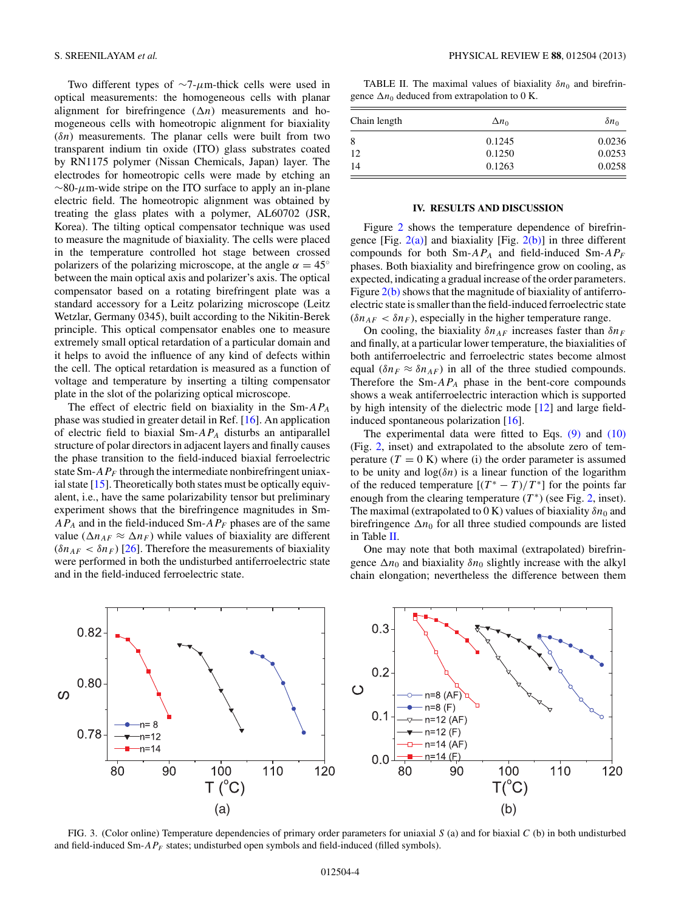<span id="page-5-0"></span>Two different types of ∼7-*μ*m-thick cells were used in optical measurements: the homogeneous cells with planar alignment for birefringence  $(\Delta n)$  measurements and homogeneous cells with homeotropic alignment for biaxiality (*δn*) measurements. The planar cells were built from two transparent indium tin oxide (ITO) glass substrates coated by RN1175 polymer (Nissan Chemicals, Japan) layer. The electrodes for homeotropic cells were made by etching an ∼80-*μ*m-wide stripe on the ITO surface to apply an in-plane electric field. The homeotropic alignment was obtained by treating the glass plates with a polymer, AL60702 (JSR, Korea). The tilting optical compensator technique was used to measure the magnitude of biaxiality. The cells were placed in the temperature controlled hot stage between crossed polarizers of the polarizing microscope, at the angle  $\alpha = 45^\circ$ between the main optical axis and polarizer's axis. The optical compensator based on a rotating birefringent plate was a standard accessory for a Leitz polarizing microscope (Leitz Wetzlar, Germany 0345), built according to the Nikitin-Berek principle. This optical compensator enables one to measure extremely small optical retardation of a particular domain and it helps to avoid the influence of any kind of defects within the cell. The optical retardation is measured as a function of voltage and temperature by inserting a tilting compensator plate in the slot of the polarizing optical microscope.

The effect of electric field on biaxiality in the Sm-*APA* phase was studied in greater detail in Ref. [\[16\]](#page-6-0). An application of electric field to biaxial Sm-*APA* disturbs an antiparallel structure of polar directors in adjacent layers and finally causes the phase transition to the field-induced biaxial ferroelectric state Sm- $AP_F$  through the intermediate nonbirefringent uniaxial state  $[15]$ . Theoretically both states must be optically equivalent, i.e., have the same polarizability tensor but preliminary experiment shows that the birefringence magnitudes in Sm-*APA* and in the field-induced Sm-*APF* phases are of the same value ( $\Delta n_{AF} \approx \Delta n_F$ ) while values of biaxiality are different  $(\delta n_{AF} < \delta n_F)$  [\[26\]](#page-6-0). Therefore the measurements of biaxiality were performed in both the undisturbed antiferroelectric state and in the field-induced ferroelectric state.

TABLE II. The maximal values of biaxiality  $\delta n_0$  and birefringence  $\Delta n_0$  deduced from extrapolation to 0 K.

| Chain length | $\Delta n_0$ | $\delta n_0$ |
|--------------|--------------|--------------|
| 8            | 0.1245       | 0.0236       |
| 12           | 0.1250       | 0.0253       |
| 14           | 0.1263       | 0.0258       |

#### **IV. RESULTS AND DISCUSSION**

Figure [2](#page-4-0) shows the temperature dependence of birefringence [Fig.  $2(a)$ ] and biaxiality [Fig.  $2(b)$ ] in three different compounds for both Sm-*APA* and field-induced Sm-*APF* phases. Both biaxiality and birefringence grow on cooling, as expected, indicating a gradual increase of the order parameters. Figure  $2(b)$  shows that the magnitude of biaxiality of antiferroelectric state is smaller than the field-induced ferroelectric state  $(\delta n_{AF} < \delta n_F)$ , especially in the higher temperature range.

On cooling, the biaxiality  $\delta n_{AF}$  increases faster than  $\delta n_F$ and finally, at a particular lower temperature, the biaxialities of both antiferroelectric and ferroelectric states become almost equal  $(\delta n_F \approx \delta n_{AF})$  in all of the three studied compounds. Therefore the  $Sm$ - $AP_A$  phase in the bent-core compounds shows a weak antiferroelectric interaction which is supported by high intensity of the dielectric mode [\[12\]](#page-6-0) and large fieldinduced spontaneous polarization [\[16\]](#page-6-0).

The experimental data were fitted to Eqs.  $(9)$  and  $(10)$ (Fig. [2,](#page-4-0) inset) and extrapolated to the absolute zero of temperature  $(T = 0 K)$  where (i) the order parameter is assumed to be unity and  $log(\delta n)$  is a linear function of the logarithm of the reduced temperature  $[(T^* - T)/T^*]$  for the points far enough from the clearing temperature  $(T^*)$  (see Fig. [2,](#page-4-0) inset). The maximal (extrapolated to 0 K) values of biaxiality  $\delta n_0$  and birefringence  $\Delta n_0$  for all three studied compounds are listed in Table II.

One may note that both maximal (extrapolated) birefringence  $\Delta n_0$  and biaxiality  $\delta n_0$  slightly increase with the alkyl chain elongation; nevertheless the difference between them



FIG. 3. (Color online) Temperature dependencies of primary order parameters for uniaxial *S* (a) and for biaxial *C* (b) in both undisturbed and field-induced Sm- $AP_F$  states; undisturbed open symbols and field-induced (filled symbols).